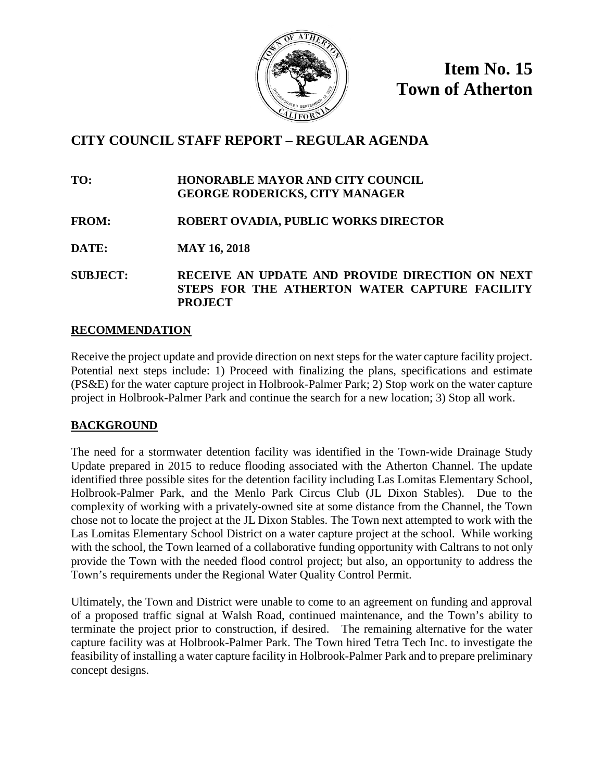

**Item No. 15 Town of Atherton**

# **CITY COUNCIL STAFF REPORT – REGULAR AGENDA**

**TO: HONORABLE MAYOR AND CITY COUNCIL GEORGE RODERICKS, CITY MANAGER**

# **FROM: ROBERT OVADIA, PUBLIC WORKS DIRECTOR**

**DATE: MAY 16, 2018**

**SUBJECT: RECEIVE AN UPDATE AND PROVIDE DIRECTION ON NEXT STEPS FOR THE ATHERTON WATER CAPTURE FACILITY PROJECT**

## **RECOMMENDATION**

Receive the project update and provide direction on next steps for the water capture facility project. Potential next steps include: 1) Proceed with finalizing the plans, specifications and estimate (PS&E) for the water capture project in Holbrook-Palmer Park; 2) Stop work on the water capture project in Holbrook-Palmer Park and continue the search for a new location; 3) Stop all work.

# **BACKGROUND**

The need for a stormwater detention facility was identified in the Town-wide Drainage Study Update prepared in 2015 to reduce flooding associated with the Atherton Channel. The update identified three possible sites for the detention facility including Las Lomitas Elementary School, Holbrook-Palmer Park, and the Menlo Park Circus Club (JL Dixon Stables). Due to the complexity of working with a privately-owned site at some distance from the Channel, the Town chose not to locate the project at the JL Dixon Stables. The Town next attempted to work with the Las Lomitas Elementary School District on a water capture project at the school. While working with the school, the Town learned of a collaborative funding opportunity with Caltrans to not only provide the Town with the needed flood control project; but also, an opportunity to address the Town's requirements under the Regional Water Quality Control Permit.

Ultimately, the Town and District were unable to come to an agreement on funding and approval of a proposed traffic signal at Walsh Road, continued maintenance, and the Town's ability to terminate the project prior to construction, if desired. The remaining alternative for the water capture facility was at Holbrook-Palmer Park. The Town hired Tetra Tech Inc. to investigate the feasibility of installing a water capture facility in Holbrook-Palmer Park and to prepare preliminary concept designs.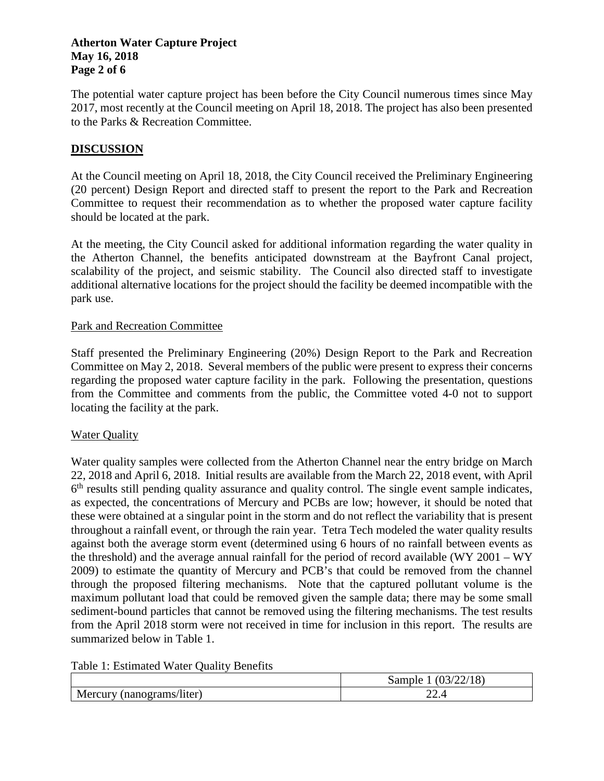### **Atherton Water Capture Project May 16, 2018 Page 2 of 6**

The potential water capture project has been before the City Council numerous times since May 2017, most recently at the Council meeting on April 18, 2018. The project has also been presented to the Parks & Recreation Committee.

### **DISCUSSION**

At the Council meeting on April 18, 2018, the City Council received the Preliminary Engineering (20 percent) Design Report and directed staff to present the report to the Park and Recreation Committee to request their recommendation as to whether the proposed water capture facility should be located at the park.

At the meeting, the City Council asked for additional information regarding the water quality in the Atherton Channel, the benefits anticipated downstream at the Bayfront Canal project, scalability of the project, and seismic stability. The Council also directed staff to investigate additional alternative locations for the project should the facility be deemed incompatible with the park use.

#### Park and Recreation Committee

Staff presented the Preliminary Engineering (20%) Design Report to the Park and Recreation Committee on May 2, 2018. Several members of the public were present to express their concerns regarding the proposed water capture facility in the park. Following the presentation, questions from the Committee and comments from the public, the Committee voted 4-0 not to support locating the facility at the park.

### Water Quality

Water quality samples were collected from the Atherton Channel near the entry bridge on March 22, 2018 and April 6, 2018. Initial results are available from the March 22, 2018 event, with April  $6<sup>th</sup>$  results still pending quality assurance and quality control. The single event sample indicates, as expected, the concentrations of Mercury and PCBs are low; however, it should be noted that these were obtained at a singular point in the storm and do not reflect the variability that is present throughout a rainfall event, or through the rain year. Tetra Tech modeled the water quality results against both the average storm event (determined using 6 hours of no rainfall between events as the threshold) and the average annual rainfall for the period of record available (WY 2001 – WY 2009) to estimate the quantity of Mercury and PCB's that could be removed from the channel through the proposed filtering mechanisms. Note that the captured pollutant volume is the maximum pollutant load that could be removed given the sample data; there may be some small sediment-bound particles that cannot be removed using the filtering mechanisms. The test results from the April 2018 storm were not received in time for inclusion in this report. The results are summarized below in Table 1.

Table 1: Estimated Water Quality Benefits

|                              | (22/18)<br>(03)<br>sample |
|------------------------------|---------------------------|
| Mercury<br>(nanograms/liter) | ີ<br>∠∠.¬                 |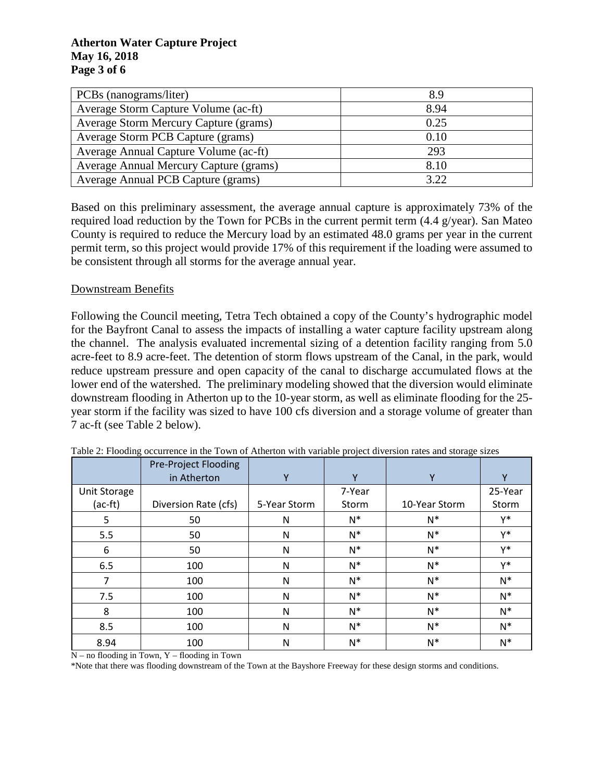### **Atherton Water Capture Project May 16, 2018 Page 3 of 6**

| PCBs (nanograms/liter)                 | 8.9  |
|----------------------------------------|------|
| Average Storm Capture Volume (ac-ft)   | 8.94 |
| Average Storm Mercury Capture (grams)  | 0.25 |
| Average Storm PCB Capture (grams)      | 0.10 |
| Average Annual Capture Volume (ac-ft)  | 293  |
| Average Annual Mercury Capture (grams) | 8.10 |
| Average Annual PCB Capture (grams)     | 3.22 |

Based on this preliminary assessment, the average annual capture is approximately 73% of the required load reduction by the Town for PCBs in the current permit term (4.4 g/year). San Mateo County is required to reduce the Mercury load by an estimated 48.0 grams per year in the current permit term, so this project would provide 17% of this requirement if the loading were assumed to be consistent through all storms for the average annual year.

### Downstream Benefits

Following the Council meeting, Tetra Tech obtained a copy of the County's hydrographic model for the Bayfront Canal to assess the impacts of installing a water capture facility upstream along the channel. The analysis evaluated incremental sizing of a detention facility ranging from 5.0 acre-feet to 8.9 acre-feet. The detention of storm flows upstream of the Canal, in the park, would reduce upstream pressure and open capacity of the canal to discharge accumulated flows at the lower end of the watershed. The preliminary modeling showed that the diversion would eliminate downstream flooding in Atherton up to the 10-year storm, as well as eliminate flooding for the 25 year storm if the facility was sized to have 100 cfs diversion and a storage volume of greater than 7 ac-ft (see Table 2 below).

|              | <b>Pre-Project Flooding</b> |              |        |               |         |
|--------------|-----------------------------|--------------|--------|---------------|---------|
|              | in Atherton                 | Υ            | Y      | Υ             | $\vee$  |
| Unit Storage |                             |              | 7-Year |               | 25-Year |
| $(ac-ft)$    | Diversion Rate (cfs)        | 5-Year Storm | Storm  | 10-Year Storm | Storm   |
| 5            | 50                          | N            | $N^*$  | $N^*$         | Y*      |
| 5.5          | 50                          | N            | $N^*$  | $N^*$         | Y*      |
| 6            | 50                          | N            | $N^*$  | $N^*$         | Y*      |
| 6.5          | 100                         | N            | $N^*$  | $N^*$         | γ*      |
| 7            | 100                         | N            | $N^*$  | $N^*$         | $N^*$   |
| 7.5          | 100                         | N            | $N^*$  | $N^*$         | $N^*$   |
| 8            | 100                         | N            | $N^*$  | $N^*$         | $N^*$   |
| 8.5          | 100                         | N            | $N^*$  | $N^*$         | $N^*$   |
| 8.94         | 100                         | N            | $N^*$  | $N^*$         | $N^*$   |

Table 2: Flooding occurrence in the Town of Atherton with variable project diversion rates and storage sizes

 $N - no$  flooding in Town, Y – flooding in Town

\*Note that there was flooding downstream of the Town at the Bayshore Freeway for these design storms and conditions.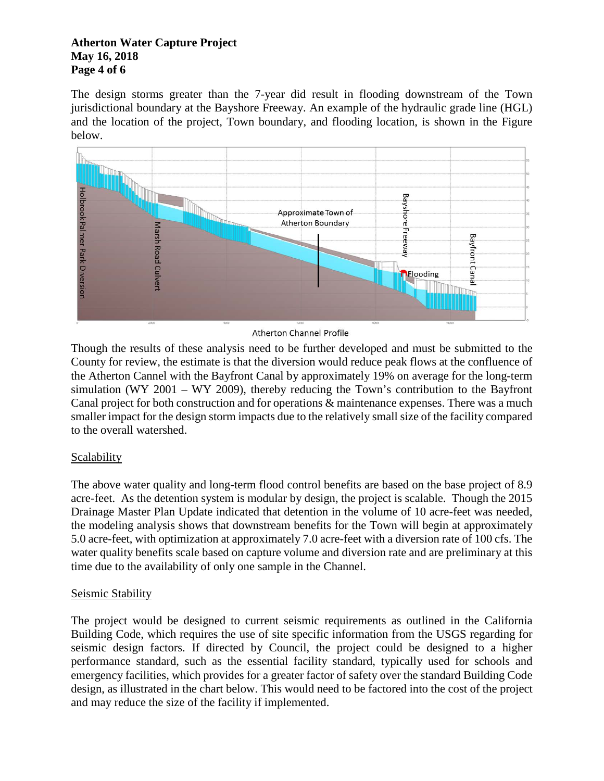### **Atherton Water Capture Project May 16, 2018 Page 4 of 6**

The design storms greater than the 7-year did result in flooding downstream of the Town jurisdictional boundary at the Bayshore Freeway. An example of the hydraulic grade line (HGL) and the location of the project, Town boundary, and flooding location, is shown in the Figure below.



**Atherton Channel Profile** 

Though the results of these analysis need to be further developed and must be submitted to the County for review, the estimate is that the diversion would reduce peak flows at the confluence of the Atherton Cannel with the Bayfront Canal by approximately 19% on average for the long-term simulation (WY 2001 – WY 2009), thereby reducing the Town's contribution to the Bayfront Canal project for both construction and for operations & maintenance expenses. There was a much smaller impact for the design storm impacts due to the relatively small size of the facility compared to the overall watershed.

# **Scalability**

The above water quality and long-term flood control benefits are based on the base project of 8.9 acre-feet. As the detention system is modular by design, the project is scalable. Though the 2015 Drainage Master Plan Update indicated that detention in the volume of 10 acre-feet was needed, the modeling analysis shows that downstream benefits for the Town will begin at approximately 5.0 acre-feet, with optimization at approximately 7.0 acre-feet with a diversion rate of 100 cfs. The water quality benefits scale based on capture volume and diversion rate and are preliminary at this time due to the availability of only one sample in the Channel.

## Seismic Stability

The project would be designed to current seismic requirements as outlined in the California Building Code, which requires the use of site specific information from the USGS regarding for seismic design factors. If directed by Council, the project could be designed to a higher performance standard, such as the essential facility standard, typically used for schools and emergency facilities, which provides for a greater factor of safety over the standard Building Code design, as illustrated in the chart below. This would need to be factored into the cost of the project and may reduce the size of the facility if implemented.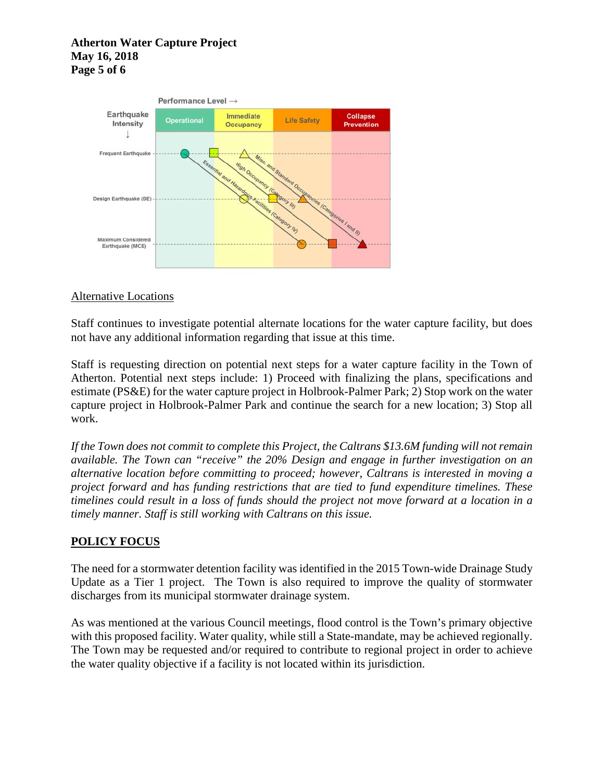### **Atherton Water Capture Project May 16, 2018 Page 5 of 6**



### Alternative Locations

Staff continues to investigate potential alternate locations for the water capture facility, but does not have any additional information regarding that issue at this time.

Staff is requesting direction on potential next steps for a water capture facility in the Town of Atherton. Potential next steps include: 1) Proceed with finalizing the plans, specifications and estimate (PS&E) for the water capture project in Holbrook-Palmer Park; 2) Stop work on the water capture project in Holbrook-Palmer Park and continue the search for a new location; 3) Stop all work.

*If the Town does not commit to complete this Project, the Caltrans \$13.6M funding will not remain available. The Town can "receive" the 20% Design and engage in further investigation on an alternative location before committing to proceed; however, Caltrans is interested in moving a project forward and has funding restrictions that are tied to fund expenditure timelines. These timelines could result in a loss of funds should the project not move forward at a location in a timely manner. Staff is still working with Caltrans on this issue.* 

## **POLICY FOCUS**

The need for a stormwater detention facility was identified in the 2015 Town-wide Drainage Study Update as a Tier 1 project. The Town is also required to improve the quality of stormwater discharges from its municipal stormwater drainage system.

As was mentioned at the various Council meetings, flood control is the Town's primary objective with this proposed facility. Water quality, while still a State-mandate, may be achieved regionally. The Town may be requested and/or required to contribute to regional project in order to achieve the water quality objective if a facility is not located within its jurisdiction.